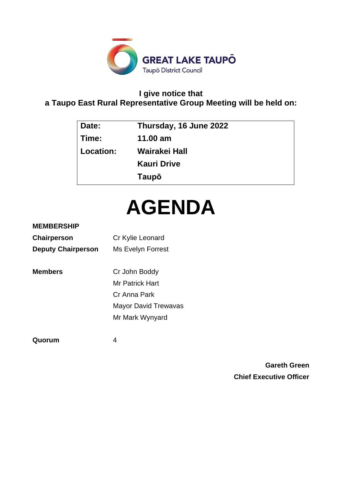

# **I give notice that a Taupo East Rural Representative Group Meeting will be held on:**

| Date:     | Thursday, 16 June 2022 |
|-----------|------------------------|
| Time:     | 11.00 $am$             |
| Location: | Wairakei Hall          |
|           | <b>Kauri Drive</b>     |
|           | Taupō                  |

# **AGENDA**

# **MEMBERSHIP**

| Chairperson               | Cr Kylie Leonard            |
|---------------------------|-----------------------------|
| <b>Deputy Chairperson</b> | Ms Evelyn Forrest           |
| <b>Members</b>            | Cr John Boddy               |
|                           | Mr Patrick Hart             |
|                           | Cr Anna Park                |
|                           | <b>Mayor David Trewavas</b> |
|                           | Mr Mark Wynyard             |
|                           |                             |

**Quorum** 4

**Gareth Green Chief Executive Officer**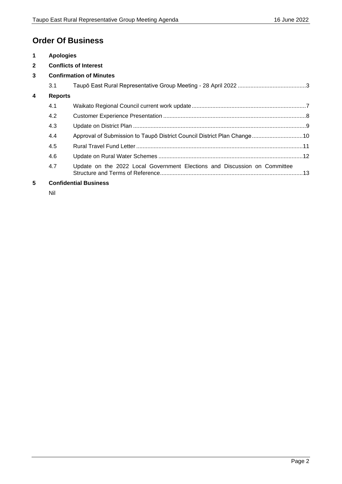# **Order Of Business**

| $\blacktriangleleft$                | <b>Apologies</b>             |                                                                           |  |
|-------------------------------------|------------------------------|---------------------------------------------------------------------------|--|
| $\mathbf{2}$                        | <b>Conflicts of Interest</b> |                                                                           |  |
| 3<br><b>Confirmation of Minutes</b> |                              |                                                                           |  |
|                                     | 3.1                          |                                                                           |  |
| $\overline{\mathbf{4}}$             | <b>Reports</b>               |                                                                           |  |
|                                     | 4.1                          |                                                                           |  |
|                                     | 4.2                          |                                                                           |  |
|                                     | 4.3                          |                                                                           |  |
|                                     | 4.4                          | Approval of Submission to Taupō District Council District Plan Change 10  |  |
|                                     | 4.5                          |                                                                           |  |
|                                     | 4.6                          |                                                                           |  |
|                                     | 4.7                          | Update on the 2022 Local Government Elections and Discussion on Committee |  |
| 5                                   | <b>Confidential Business</b> |                                                                           |  |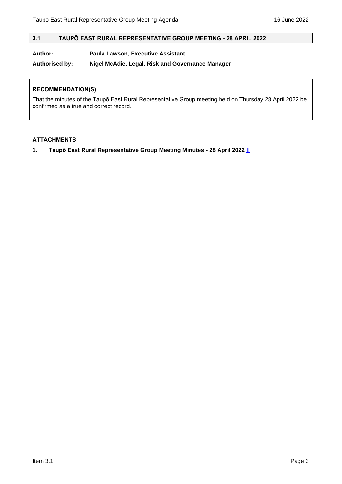# <span id="page-2-0"></span>**3.1 TAUPŌ EAST RURAL REPRESENTATIVE GROUP MEETING - 28 APRIL 2022**

#### **Author: Paula Lawson, Executive Assistant**

#### **Authorised by: Nigel McAdie, Legal, Risk and Governance Manager**

#### **RECOMMENDATION(S)**

That the minutes of the Taupō East Rural Representative Group meeting held on Thursday 28 April 2022 be confirmed as a true and correct record.

#### **ATTACHMENTS**

**1. Taupō East Rural Representative Group Meeting Minutes - 28 April 2022** [⇩](#page-3-0)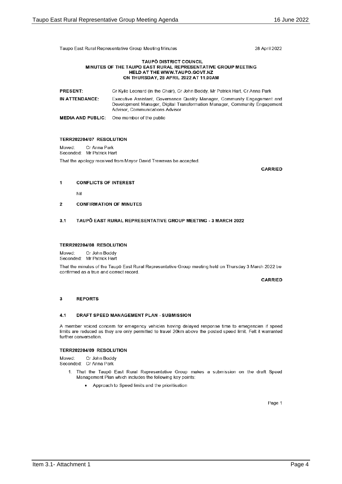<span id="page-3-0"></span>Taupo East Rural Representative Group Meeting Minutes

28 April 2022

#### **TAUPO DISTRICT COUNCIL** MINUTES OF THE TAUPO EAST RURAL REPRESENTATIVE GROUP MEETING HELD AT THE WWW.TAUPO.GOVT.NZ ON THURSDAY, 28 APRIL 2022 AT 11.00AM

| <b>PRESENT:</b> | Cr Kylie Leonard (in the Chair). Cr John Boddy, Mr Patrick Hart, Cr Anna Park                                                                                                             |
|-----------------|-------------------------------------------------------------------------------------------------------------------------------------------------------------------------------------------|
| IN ATTENDANCE:  | Executive Assistant, Governance Quality Manager, Community Engagement and<br>Development Manager, Digital Transformation Manager, Community Engagement<br>Advisor, Communications Advisor |
|                 | <b>MEDIA AND PUBLIC:</b> One member of the public                                                                                                                                         |

#### TERR202204/07 RESOLUTION

Moved: Cr Anna Park Seconded: Mr Patrick Hart That the apology received from Mayor David Trewavas be accepted.

CARRIED

#### **CONFLICTS OF INTEREST**  $\overline{1}$

Nil

#### $\overline{2}$ **CONFIRMATION OF MINUTES**

#### TAUPO EAST RURAL REPRESENTATIVE GROUP MEETING - 3 MARCH 2022  $3.1$

#### TERR202204/08 RESOLUTION

Cr John Boddy Moved<sup>-</sup> Seconded: Mr Patrick Hart

That the minutes of the Taupō East Rural Representative Group meeting held on Thursday 3 March 2022 be confirmed as a true and correct record.

**CARRIED** 

#### $\overline{\mathbf{3}}$ **REPORTS**

#### $4.1$ DRAFT SPEED MANAGEMENT PLAN - SUBMISSION

A member voiced concem for emegency vehicles having delayed response time to emegencies if speed limits are reduced as they are only permitted to travel 20km above the posted speed limit. Felt it warranted further conversation.

#### TERR202204/09 RESOLUTION

Moved: Cr John Boddy Seconded: Cr Anna Park

- 1. That the Taupō East Rural Representative Group makes a submission on the draft Speed Management Plan which includes the following key points:
	- Approach to Speed limits and the prioritisation

Page 1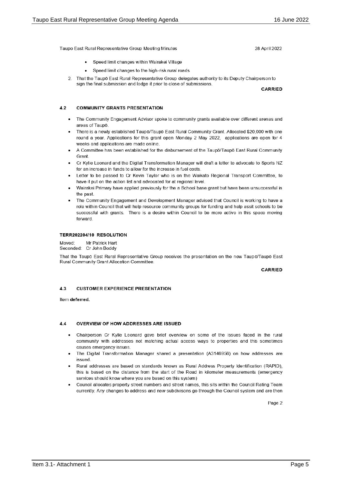Taupo East Rural Representative Group Meeting Minutes

- Speed limit changes within Wairakei Village
- Speed limit changes to the high-risk rural roads
- 2. That the Taupō East Rural Representative Group delegates authority to its Deputy Chairperson to sign the final submission and lodge it prior to close of submissions.

**CARRIED** 

28 April 2022

#### $4.2$ **COMMUNITY GRANTS PRESENTATION**

- The Community Engagement Advisor spoke to community grants avaliable over different arenas and  $\overline{\phantom{a}}$ areas of Taupo
- There is a newly established Taupō/Taupō East Rural Community Grant. Allocated \$20,000 with one round a year. Applications for this grant open Monday 2 May 2022, applications are open for 4 weeks and applications are made online.
- A Committee has been established for the disbursement of the Taupo/Taupo East Rural Community Grant
- Cr Kylie Leonard and the Digital Transformation Manager will draft a letter to advocate to Sports NZ for an increase in funds to allow for the increase in fuel costs.
- Letter to be passed to Cr Kevin Taylor who is on the Waikato Regional Transport Committee, to have it put on the action list and advocated for at regional level.
- Wairakei Primary have applied previously for the a School base grant but have been unsuccessful in the past
- The Community Engagement and Development Manager advised that Council is working to have a role within Council that will help resource community groups for funding and help assit schools to be successful with grants. There is a desire within Council to be more active in this space moving forward

#### TERR202204/10 RESOLUTION

Moved: Mr Patrick Hart Seconded: Cr John Boddy

That the Taupō East Rural Representative Group receives the presentation on the new Taupō/Taupō East Rural Community Grant Allocation Committee.

**CARRIED** 

#### $4.3$ **CUSTOMER EXPERIENCE PRESENTATION**

Item deferred

#### **OVERVIEW OF HOW ADDRESSES ARE ISSUED**  $\Delta$   $\Delta$

- $\bullet$ Chairperson Cr Kylie Leonard gave brief overview on some of the issues faced in the rural community with addresses not matching actual access ways to properties and this sometimes causes emergency issues.
- The Digital Transformation Manager shared a presentation (A3146956) on how addresses are *issued*
- Rural addresses are based on standards known as Rural Address Property Identification (RAPID), this is based on the distance from the start of the Road in kilometer measurements (emergency services should know where you are based on this system)
- Council allocates property street numbers and street names, this sits within the Council Rating Team currently. Any changes to address and new subdivisons go through the Council system and are then

Page 2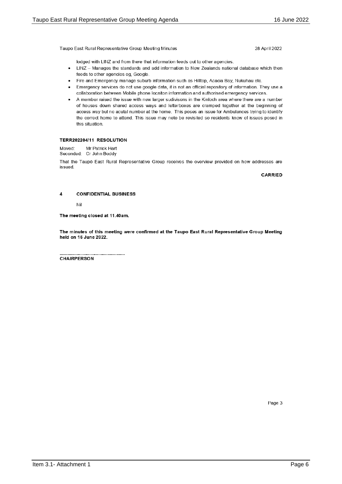Taupo East Rural Representative Group Meeting Minutes

28 April 2022

lodged with LINZ and from there that information feeds out to other agencies.

- LINZ Manages the standards and add information to New Zealands national database which then  $\bullet$ feeds to other agencies eg, Google.
- Fire and Emergency manage suburb information such as Hilltop, Acacia Bay, Nukuhau etc.
- Emergency services do not use google data, it is not an official repository of information. They use a  $\bullet$ collaboration between Mobile phone locaiton information and authorised emergency services.
- A member raised the issue with new larger sudivisons in the Kinloch area where there are a number of houses down shared access ways and letterboxes are cramped together at the beginning of access way but no acutal number at the home. This poses an issue for Ambulances trying to identify the correct home to attend. This issue may neto be revisited so residents know of issues posed in this situation.

#### TERR202204/11 RESOLUTION

Mr Patrick Hart Moved: Seconded: Cr John Boddy

That the Taupō East Rural Representative Group receives the overview provided on how addresses are *issued* 

**CARRIED** 

#### $\overline{\mathbf{A}}$ **CONFIDENTIAL BUSINESS**

Nil

The meeting closed at 11.40am.

The minutes of this meeting were confirmed at the Taupo East Rural Representative Group Meeting held on 16 June 2022.

**CHAIRPERSON** 

Page 3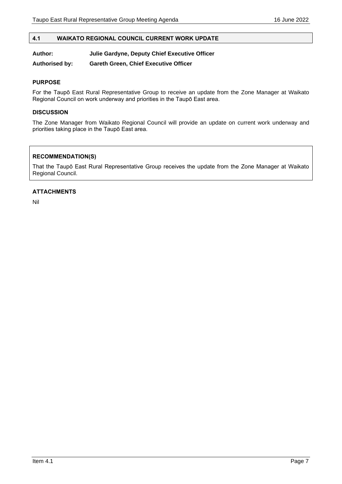# <span id="page-6-0"></span>**4.1 WAIKATO REGIONAL COUNCIL CURRENT WORK UPDATE**

#### **Author: Julie Gardyne, Deputy Chief Executive Officer**

**Authorised by: Gareth Green, Chief Executive Officer**

#### **PURPOSE**

For the Taupō East Rural Representative Group to receive an update from the Zone Manager at Waikato Regional Council on work underway and priorities in the Taupō East area.

#### **DISCUSSION**

The Zone Manager from Waikato Regional Council will provide an update on current work underway and priorities taking place in the Taupō East area.

# **RECOMMENDATION(S)**

That the Taupō East Rural Representative Group receives the update from the Zone Manager at Waikato Regional Council.

## **ATTACHMENTS**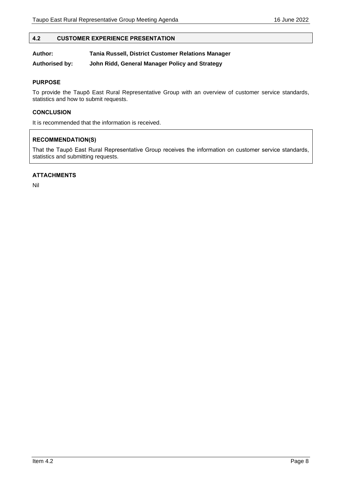#### <span id="page-7-0"></span>**4.2 CUSTOMER EXPERIENCE PRESENTATION**

#### **Author: Tania Russell, District Customer Relations Manager**

**Authorised by: John Ridd, General Manager Policy and Strategy**

#### **PURPOSE**

To provide the Taupō East Rural Representative Group with an overview of customer service standards, statistics and how to submit requests.

#### **CONCLUSION**

It is recommended that the information is received.

#### **RECOMMENDATION(S)**

That the Taupō East Rural Representative Group receives the information on customer service standards, statistics and submitting requests.

# **ATTACHMENTS**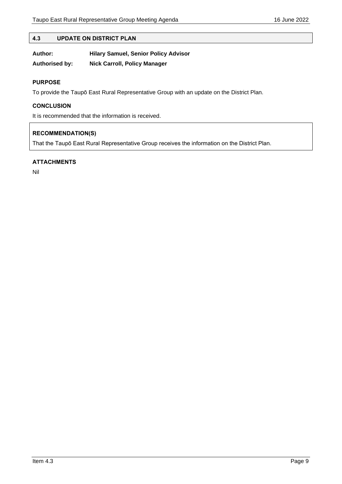# <span id="page-8-0"></span>**4.3 UPDATE ON DISTRICT PLAN**

| Author:        | <b>Hilary Samuel, Senior Policy Advisor</b> |
|----------------|---------------------------------------------|
| Authorised by: | <b>Nick Carroll, Policy Manager</b>         |

## **PURPOSE**

To provide the Taupō East Rural Representative Group with an update on the District Plan.

# **CONCLUSION**

It is recommended that the information is received.

# **RECOMMENDATION(S)**

That the Taupō East Rural Representative Group receives the information on the District Plan.

# **ATTACHMENTS**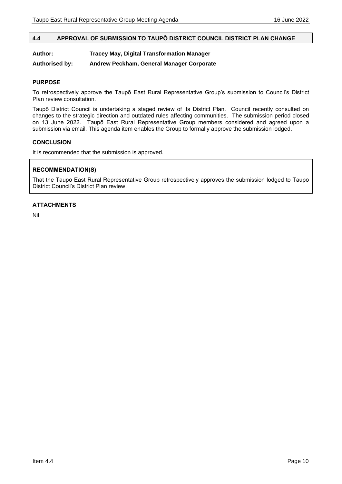# <span id="page-9-0"></span>**4.4 APPROVAL OF SUBMISSION TO TAUPŌ DISTRICT COUNCIL DISTRICT PLAN CHANGE**

## **Author: Tracey May, Digital Transformation Manager**

**Authorised by: Andrew Peckham, General Manager Corporate**

#### **PURPOSE**

To retrospectively approve the Taupō East Rural Representative Group's submission to Council's District Plan review consultation.

Taupō District Council is undertaking a staged review of its District Plan. Council recently consulted on changes to the strategic direction and outdated rules affecting communities. The submission period closed on 13 June 2022. Taupō East Rural Representative Group members considered and agreed upon a submission via email. This agenda item enables the Group to formally approve the submission lodged.

#### **CONCLUSION**

It is recommended that the submission is approved.

# **RECOMMENDATION(S)**

That the Taupō East Rural Representative Group retrospectively approves the submission lodged to Taupō District Council's District Plan review.

#### **ATTACHMENTS**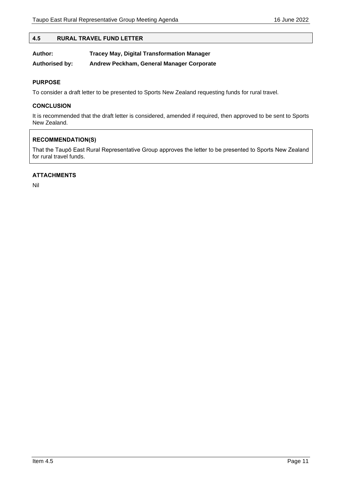#### <span id="page-10-0"></span>**4.5 RURAL TRAVEL FUND LETTER**

| Author:               | <b>Tracey May, Digital Transformation Manager</b> |
|-----------------------|---------------------------------------------------|
| <b>Authorised by:</b> | Andrew Peckham, General Manager Corporate         |

#### **PURPOSE**

To consider a draft letter to be presented to Sports New Zealand requesting funds for rural travel.

#### **CONCLUSION**

It is recommended that the draft letter is considered, amended if required, then approved to be sent to Sports New Zealand.

## **RECOMMENDATION(S)**

That the Taupō East Rural Representative Group approves the letter to be presented to Sports New Zealand for rural travel funds.

# **ATTACHMENTS**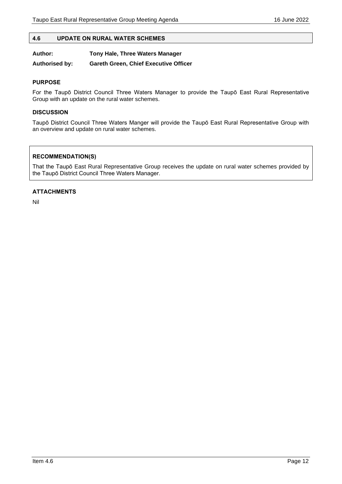#### <span id="page-11-0"></span>**4.6 UPDATE ON RURAL WATER SCHEMES**

| Author: | Tony Hale, Three Waters Manager |
|---------|---------------------------------|
|---------|---------------------------------|

**Authorised by: Gareth Green, Chief Executive Officer**

#### **PURPOSE**

For the Taupō District Council Three Waters Manager to provide the Taupō East Rural Representative Group with an update on the rural water schemes.

## **DISCUSSION**

Taupō District Council Three Waters Manger will provide the Taupō East Rural Representative Group with an overview and update on rural water schemes.

# **RECOMMENDATION(S)**

That the Taupō East Rural Representative Group receives the update on rural water schemes provided by the Taupō District Council Three Waters Manager.

## **ATTACHMENTS**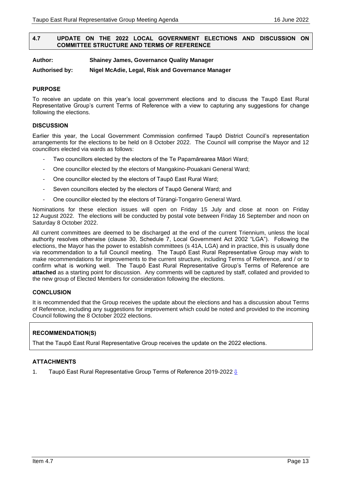#### <span id="page-12-0"></span>**4.7 UPDATE ON THE 2022 LOCAL GOVERNMENT ELECTIONS AND DISCUSSION ON COMMITTEE STRUCTURE AND TERMS OF REFERENCE**

**Author: Shainey James, Governance Quality Manager**

**Authorised by: Nigel McAdie, Legal, Risk and Governance Manager**

#### **PURPOSE**

To receive an update on this year's local government elections and to discuss the Taupō East Rural Representative Group's current Terms of Reference with a view to capturing any suggestions for change following the elections.

#### **DISCUSSION**

Earlier this year, the Local Government Commission confirmed Taupō District Council's representation arrangements for the elections to be held on 8 October 2022. The Council will comprise the Mayor and 12 councillors elected via wards as follows:

- Two councillors elected by the electors of the Te Papamārearea Māori Ward;
- One councillor elected by the electors of Mangakino-Pouakani General Ward;
- One councillor elected by the electors of Taupō East Rural Ward;
- Seven councillors elected by the electors of Taupō General Ward; and
- One councillor elected by the electors of Tūrangi-Tongariro General Ward.

Nominations for these election issues will open on Friday 15 July and close at noon on Friday 12 August 2022. The elections will be conducted by postal vote between Friday 16 September and noon on Saturday 8 October 2022.

All current committees are deemed to be discharged at the end of the current Triennium, unless the local authority resolves otherwise (clause 30, Schedule 7, Local Government Act 2002 "LGA"). Following the elections, the Mayor has the power to establish committees (s 41A, LGA) and in practice, this is usually done via recommendation to a full Council meeting. The Taupō East Rural Representative Group may wish to make recommendations for improvements to the current structure, including Terms of Reference, and / or to confirm what is working well. The Taupō East Rural Representative Group's Terms of Reference are **attached** as a starting point for discussion. Any comments will be captured by staff, collated and provided to the new group of Elected Members for consideration following the elections.

#### **CONCLUSION**

It is recommended that the Group receives the update about the elections and has a discussion about Terms of Reference, including any suggestions for improvement which could be noted and provided to the incoming Council following the 8 October 2022 elections.

# **RECOMMENDATION(S)**

That the Taupō East Rural Representative Group receives the update on the 2022 elections.

## **ATTACHMENTS**

1. Taupō East Rural Representative Group Terms of Reference 2019-2022 **U**